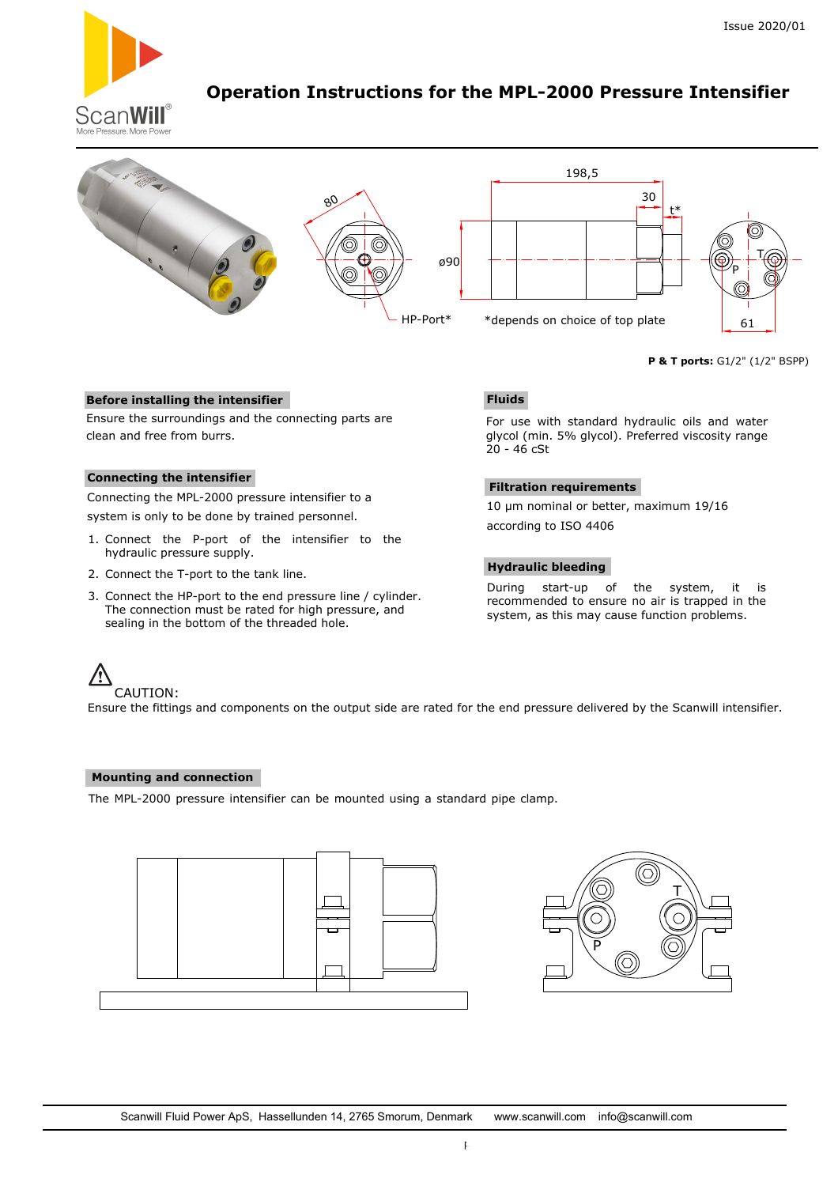

# **Operation Instructions for the MPL-2000 Pressure Intensifier**



**P & T ports:** G1/2" (1/2" BSPP)

# **Before installing the intensifier**

Ensure the surroundings and the connecting parts are clean and free from burrs.

# **Connecting the intensifier**

Connecting the MPL-2000 pressure intensifier to a system is only to be done by trained personnel.

- 1. Connect the P-port of the intensifier to the hydraulic pressure supply.
- 2. Connect the T-port to the tank line.
- 3. Connect the HP-port to the end pressure line / cylinder. The connection must be rated for high pressure, and sealing in the bottom of the threaded hole.

# **Fluids**

For use with standard hydraulic oils and water glycol (min. 5% glycol). Preferred viscosity range 20 - 46 cSt

### **Filtration requirements**

10 µm nominal or better, maximum 19/16 according to ISO 4406

### **Hydraulic bleeding**

During start-up of the system, it is recommended to ensure no air is trapped in the system, as this may cause function problems.

### CAUTION:

Ensure the fittings and components on the output side are rated for the end pressure delivered by the Scanwill intensifier.

### **Mounting and connection**

The MPL-2000 pressure intensifier can be mounted using a standard pipe clamp.